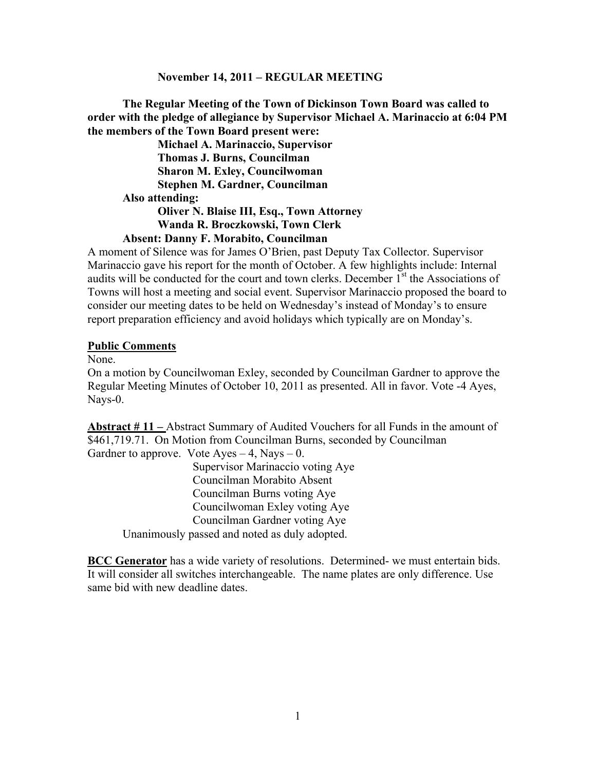#### **November 14, 2011 – REGULAR MEETING**

**The Regular Meeting of the Town of Dickinson Town Board was called to order with the pledge of allegiance by Supervisor Michael A. Marinaccio at 6:04 PM the members of the Town Board present were:**

**Michael A. Marinaccio, Supervisor Thomas J. Burns, Councilman Sharon M. Exley, Councilwoman Stephen M. Gardner, Councilman Also attending: Oliver N. Blaise III, Esq., Town Attorney Wanda R. Broczkowski, Town Clerk**

#### **Absent: Danny F. Morabito, Councilman**

A moment of Silence was for James O'Brien, past Deputy Tax Collector. Supervisor Marinaccio gave his report for the month of October. A few highlights include: Internal audits will be conducted for the court and town clerks. December  $I<sup>st</sup>$  the Associations of Towns will host a meeting and social event. Supervisor Marinaccio proposed the board to consider our meeting dates to be held on Wednesday's instead of Monday's to ensure report preparation efficiency and avoid holidays which typically are on Monday's.

#### **Public Comments**

None.

On a motion by Councilwoman Exley, seconded by Councilman Gardner to approve the Regular Meeting Minutes of October 10, 2011 as presented. All in favor. Vote -4 Ayes, Nays-0.

**Abstract # 11 –** Abstract Summary of Audited Vouchers for all Funds in the amount of \$461,719.71. On Motion from Councilman Burns, seconded by Councilman Gardner to approve. Vote  $Ayes - 4$ , Nays  $- 0$ .

Supervisor Marinaccio voting Aye Councilman Morabito Absent Councilman Burns voting Aye Councilwoman Exley voting Aye Councilman Gardner voting Aye Unanimously passed and noted as duly adopted.

**BCC Generator** has a wide variety of resolutions. Determined- we must entertain bids. It will consider all switches interchangeable. The name plates are only difference. Use same bid with new deadline dates.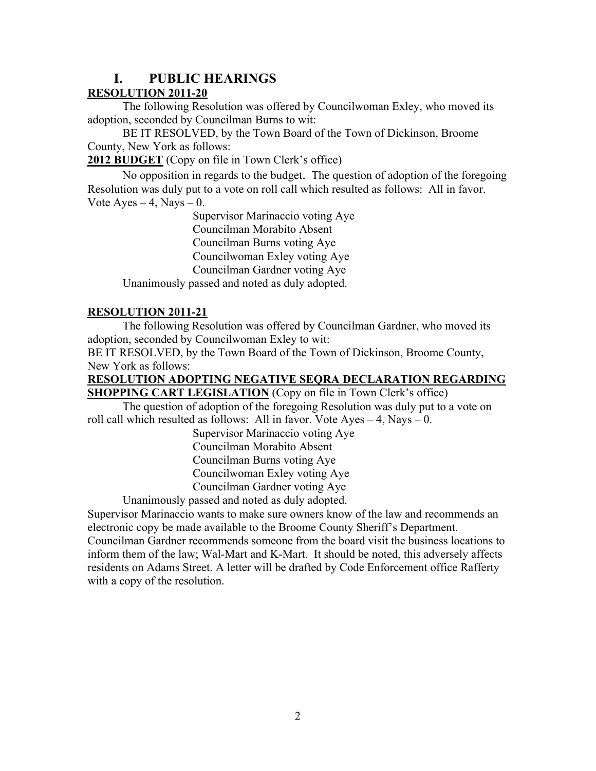# **I. PUBLIC HEARINGS**

## **RESOLUTION 2011-20**

The following Resolution was offered by Councilwoman Exley, who moved its adoption, seconded by Councilman Burns to wit:

BE IT RESOLVED, by the Town Board of the Town of Dickinson, Broome County, New York as follows:

**2012 BUDGET** (Copy on file in Town Clerk's office)

No opposition in regards to the budget. The question of adoption of the foregoing Resolution was duly put to a vote on roll call which resulted as follows: All in favor. Vote Ayes  $-4$ , Nays  $-0$ .

Supervisor Marinaccio voting Aye Councilman Morabito Absent Councilman Burns voting Aye Councilwoman Exley voting Aye Councilman Gardner voting Aye Unanimously passed and noted as duly adopted.

## **RESOLUTION 2011-21**

The following Resolution was offered by Councilman Gardner, who moved its adoption, seconded by Councilwoman Exley to wit:

BE IT RESOLVED, by the Town Board of the Town of Dickinson, Broome County, New York as follows:

**RESOLUTION ADOPTING NEGATIVE SEQRA DECLARATION REGARDING SHOPPING CART LEGISLATION** (Copy on file in Town Clerk's office)

The question of adoption of the foregoing Resolution was duly put to a vote on roll call which resulted as follows: All in favor. Vote  $Ayes - 4$ , Nays – 0.

> Supervisor Marinaccio voting Aye Councilman Morabito Absent Councilman Burns voting Aye Councilwoman Exley voting Aye Councilman Gardner voting Aye

Unanimously passed and noted as duly adopted.

Supervisor Marinaccio wants to make sure owners know of the law and recommends an electronic copy be made available to the Broome County Sheriff's Department. Councilman Gardner recommends someone from the board visit the business locations to inform them of the law; Wal-Mart and K-Mart. It should be noted, this adversely affects residents on Adams Street. A letter will be drafted by Code Enforcement office Rafferty with a copy of the resolution.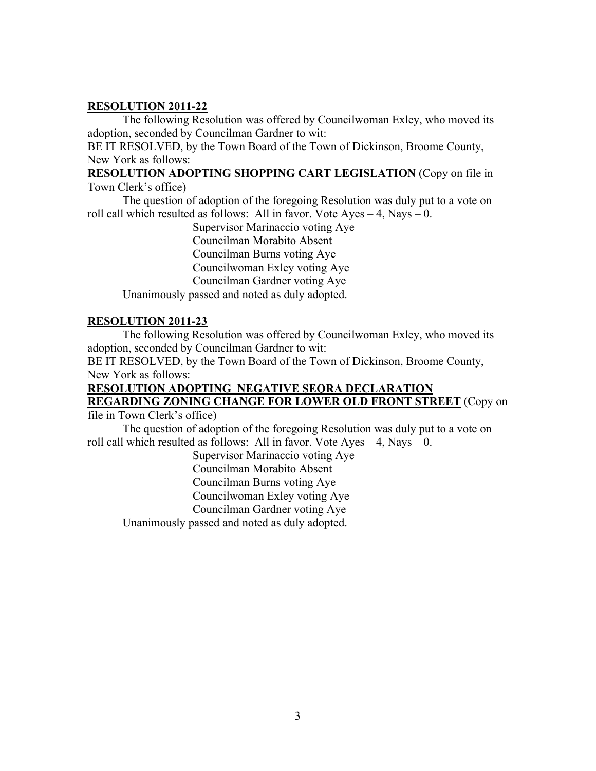#### **RESOLUTION 2011-22**

The following Resolution was offered by Councilwoman Exley, who moved its adoption, seconded by Councilman Gardner to wit:

BE IT RESOLVED, by the Town Board of the Town of Dickinson, Broome County, New York as follows:

**RESOLUTION ADOPTING SHOPPING CART LEGISLATION** (Copy on file in Town Clerk's office)

The question of adoption of the foregoing Resolution was duly put to a vote on roll call which resulted as follows: All in favor. Vote  $Ayes - 4$ , Nays  $- 0$ .

> Supervisor Marinaccio voting Aye Councilman Morabito Absent Councilman Burns voting Aye Councilwoman Exley voting Aye

Councilman Gardner voting Aye

Unanimously passed and noted as duly adopted.

## **RESOLUTION 2011-23**

The following Resolution was offered by Councilwoman Exley, who moved its adoption, seconded by Councilman Gardner to wit:

BE IT RESOLVED, by the Town Board of the Town of Dickinson, Broome County, New York as follows:

# **RESOLUTION ADOPTING NEGATIVE SEQRA DECLARATION REGARDING ZONING CHANGE FOR LOWER OLD FRONT STREET** (Copy on

file in Town Clerk's office)

The question of adoption of the foregoing Resolution was duly put to a vote on roll call which resulted as follows: All in favor. Vote  $Ayes - 4$ , Nays – 0.

Supervisor Marinaccio voting Aye

Councilman Morabito Absent

Councilman Burns voting Aye

Councilwoman Exley voting Aye

Councilman Gardner voting Aye

Unanimously passed and noted as duly adopted.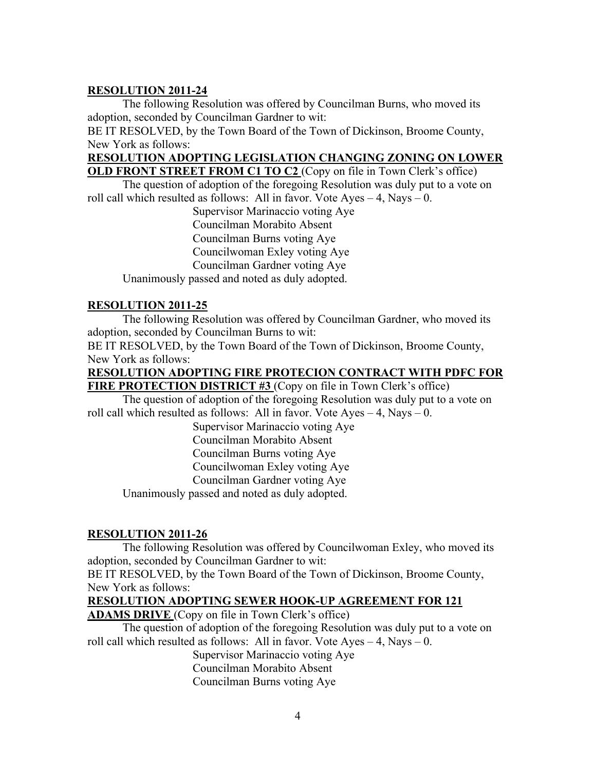#### **RESOLUTION 2011-24**

The following Resolution was offered by Councilman Burns, who moved its adoption, seconded by Councilman Gardner to wit:

BE IT RESOLVED, by the Town Board of the Town of Dickinson, Broome County, New York as follows:

## **RESOLUTION ADOPTING LEGISLATION CHANGING ZONING ON LOWER**

**OLD FRONT STREET FROM C1 TO C2** (Copy on file in Town Clerk's office) The question of adoption of the foregoing Resolution was duly put to a vote on roll call which resulted as follows: All in favor. Vote  $Ayes - 4$ , Nays  $- 0$ .

Supervisor Marinaccio voting Aye Councilman Morabito Absent Councilman Burns voting Aye Councilwoman Exley voting Aye Councilman Gardner voting Aye Unanimously passed and noted as duly adopted.

#### **RESOLUTION 2011-25**

The following Resolution was offered by Councilman Gardner, who moved its adoption, seconded by Councilman Burns to wit:

BE IT RESOLVED, by the Town Board of the Town of Dickinson, Broome County, New York as follows:

#### **RESOLUTION ADOPTING FIRE PROTECION CONTRACT WITH PDFC FOR FIRE PROTECTION DISTRICT #3** (Copy on file in Town Clerk's office)

The question of adoption of the foregoing Resolution was duly put to a vote on roll call which resulted as follows: All in favor. Vote  $Ayes - 4$ , Nays – 0.

Supervisor Marinaccio voting Aye Councilman Morabito Absent Councilman Burns voting Aye Councilwoman Exley voting Aye Councilman Gardner voting Aye

Unanimously passed and noted as duly adopted.

## **RESOLUTION 2011-26**

The following Resolution was offered by Councilwoman Exley, who moved its adoption, seconded by Councilman Gardner to wit:

BE IT RESOLVED, by the Town Board of the Town of Dickinson, Broome County, New York as follows:

## **RESOLUTION ADOPTING SEWER HOOK-UP AGREEMENT FOR 121**

**ADAMS DRIVE** (Copy on file in Town Clerk's office)

The question of adoption of the foregoing Resolution was duly put to a vote on roll call which resulted as follows: All in favor. Vote Ayes  $-4$ , Nays  $-0$ .

> Supervisor Marinaccio voting Aye Councilman Morabito Absent Councilman Burns voting Aye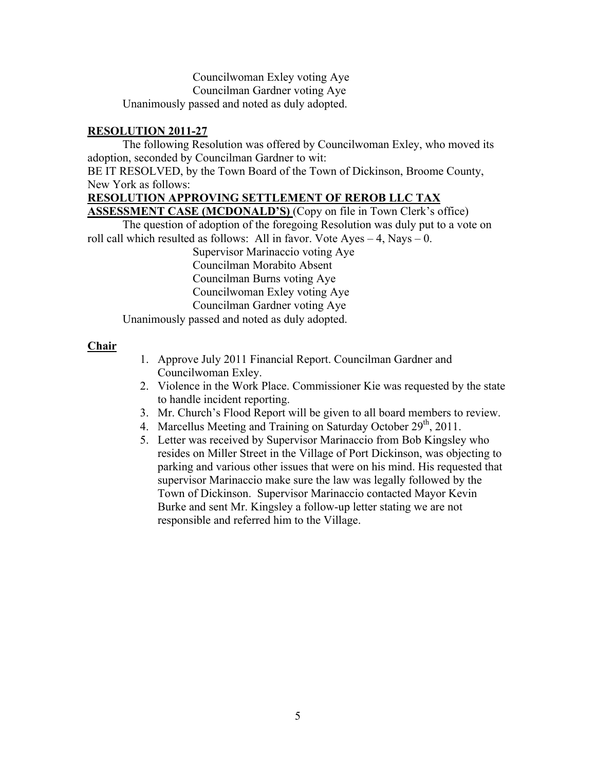Councilwoman Exley voting Aye Councilman Gardner voting Aye Unanimously passed and noted as duly adopted.

#### **RESOLUTION 2011-27**

The following Resolution was offered by Councilwoman Exley, who moved its adoption, seconded by Councilman Gardner to wit:

BE IT RESOLVED, by the Town Board of the Town of Dickinson, Broome County, New York as follows:

#### **RESOLUTION APPROVING SETTLEMENT OF REROB LLC TAX**

**ASSESSMENT CASE (MCDONALD'S)** (Copy on file in Town Clerk's office)

The question of adoption of the foregoing Resolution was duly put to a vote on roll call which resulted as follows: All in favor. Vote  $Ayes - 4$ , Nays – 0.

Supervisor Marinaccio voting Aye Councilman Morabito Absent Councilman Burns voting Aye Councilwoman Exley voting Aye Councilman Gardner voting Aye

Unanimously passed and noted as duly adopted.

#### **Chair**

- 1. Approve July 2011 Financial Report. Councilman Gardner and Councilwoman Exley.
- 2. Violence in the Work Place. Commissioner Kie was requested by the state to handle incident reporting.
- 3. Mr. Church's Flood Report will be given to all board members to review.
- 4. Marcellus Meeting and Training on Saturday October  $29<sup>th</sup>$ , 2011.
- 5. Letter was received by Supervisor Marinaccio from Bob Kingsley who resides on Miller Street in the Village of Port Dickinson, was objecting to parking and various other issues that were on his mind. His requested that supervisor Marinaccio make sure the law was legally followed by the Town of Dickinson. Supervisor Marinaccio contacted Mayor Kevin Burke and sent Mr. Kingsley a follow-up letter stating we are not responsible and referred him to the Village.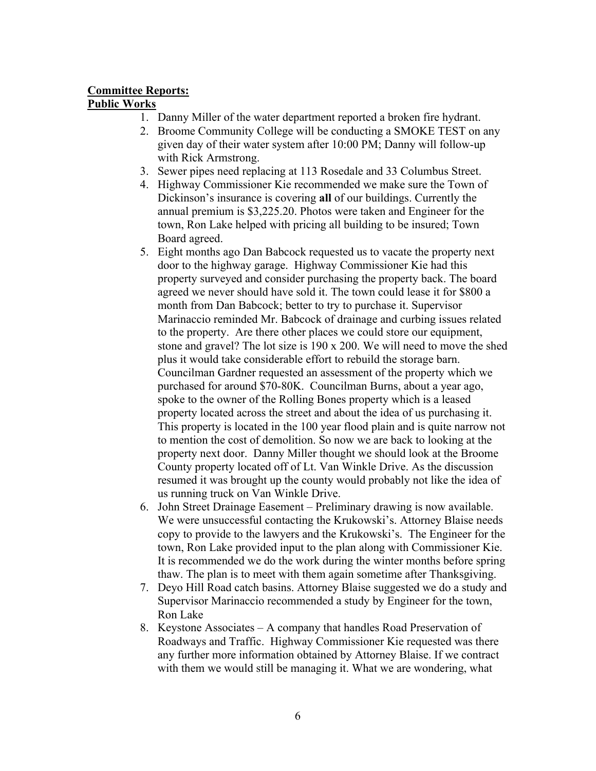# **Committee Reports:**

## **Public Works**

- 1. Danny Miller of the water department reported a broken fire hydrant.
- 2. Broome Community College will be conducting a SMOKE TEST on any given day of their water system after 10:00 PM; Danny will follow-up with Rick Armstrong.
- 3. Sewer pipes need replacing at 113 Rosedale and 33 Columbus Street.
- 4. Highway Commissioner Kie recommended we make sure the Town of Dickinson's insurance is covering **all** of our buildings. Currently the annual premium is \$3,225.20. Photos were taken and Engineer for the town, Ron Lake helped with pricing all building to be insured; Town Board agreed.
- 5. Eight months ago Dan Babcock requested us to vacate the property next door to the highway garage. Highway Commissioner Kie had this property surveyed and consider purchasing the property back. The board agreed we never should have sold it. The town could lease it for \$800 a month from Dan Babcock; better to try to purchase it. Supervisor Marinaccio reminded Mr. Babcock of drainage and curbing issues related to the property. Are there other places we could store our equipment, stone and gravel? The lot size is 190 x 200. We will need to move the shed plus it would take considerable effort to rebuild the storage barn. Councilman Gardner requested an assessment of the property which we purchased for around \$70-80K. Councilman Burns, about a year ago, spoke to the owner of the Rolling Bones property which is a leased property located across the street and about the idea of us purchasing it. This property is located in the 100 year flood plain and is quite narrow not to mention the cost of demolition. So now we are back to looking at the property next door. Danny Miller thought we should look at the Broome County property located off of Lt. Van Winkle Drive. As the discussion resumed it was brought up the county would probably not like the idea of us running truck on Van Winkle Drive.
- 6. John Street Drainage Easement Preliminary drawing is now available. We were unsuccessful contacting the Krukowski's. Attorney Blaise needs copy to provide to the lawyers and the Krukowski's. The Engineer for the town, Ron Lake provided input to the plan along with Commissioner Kie. It is recommended we do the work during the winter months before spring thaw. The plan is to meet with them again sometime after Thanksgiving.
- 7. Deyo Hill Road catch basins. Attorney Blaise suggested we do a study and Supervisor Marinaccio recommended a study by Engineer for the town, Ron Lake
- 8. Keystone Associates A company that handles Road Preservation of Roadways and Traffic. Highway Commissioner Kie requested was there any further more information obtained by Attorney Blaise. If we contract with them we would still be managing it. What we are wondering, what